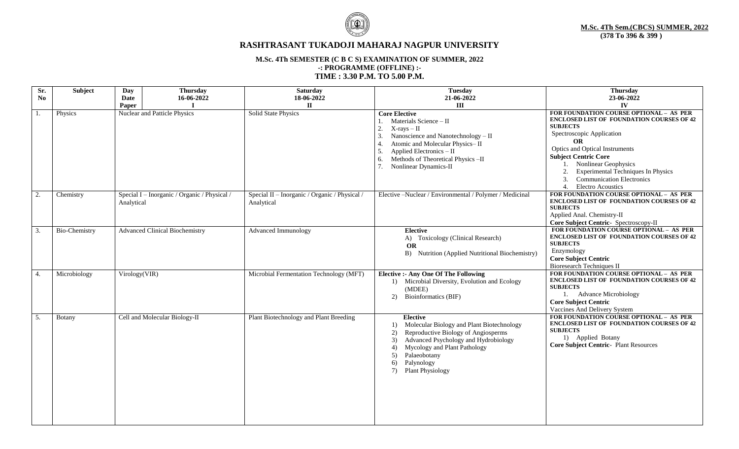

# **RASHTRASANT TUKADOJI MAHARAJ NAGPUR UNIVERSITY**

### **M.Sc. 4Th SEMESTER (C B C S) EXAMINATION OF SUMMER, 2022 -: PROGRAMME (OFFLINE) :- TIME : 3.30 P.M. TO 5.00 P.M.**

| Sr.            | Subject       | Day           | <b>Thursday</b>                              | <b>Saturday</b>                                             | <b>Tuesday</b>                                                                                                                                                                                                                                                                       | <b>Thursday</b>                                                                                                                                                                                                                                                                                                                                                                         |
|----------------|---------------|---------------|----------------------------------------------|-------------------------------------------------------------|--------------------------------------------------------------------------------------------------------------------------------------------------------------------------------------------------------------------------------------------------------------------------------------|-----------------------------------------------------------------------------------------------------------------------------------------------------------------------------------------------------------------------------------------------------------------------------------------------------------------------------------------------------------------------------------------|
| N <sub>0</sub> |               | Date          | 16-06-2022                                   | 18-06-2022                                                  | 21-06-2022                                                                                                                                                                                                                                                                           | 23-06-2022                                                                                                                                                                                                                                                                                                                                                                              |
|                |               | Paper         |                                              | $\Pi$                                                       | III                                                                                                                                                                                                                                                                                  | IV                                                                                                                                                                                                                                                                                                                                                                                      |
| 1.             | Physics       |               | Nuclear and Patticle Physics                 | Solid State Physics                                         | <b>Core Elective</b><br>Materials Science - II<br>2.<br>$X-rays - II$<br>3.<br>Nanoscience and Nanotechnology - II<br>Atomic and Molecular Physics-II<br>$\overline{4}$<br>5.<br>Applied Electronics - II<br>Methods of Theoretical Physics -II<br>6.<br>7.<br>Nonlinear Dynamics-II | FOR FOUNDATION COURSE OPTIONAL - AS PER<br><b>ENCLOSED LIST OF FOUNDATION COURSES OF 42</b><br><b>SUBJECTS</b><br>Spectroscopic Application<br><b>OR</b><br>Optics and Optical Instruments<br><b>Subject Centric Core</b><br><b>Nonlinear Geophysics</b><br>2.<br><b>Experimental Techniques In Physics</b><br><b>Communication Electronics</b><br>3.<br>4.<br><b>Electro Acoustics</b> |
| 2.             | Chemistry     | Analytical    | Special I - Inorganic / Organic / Physical / | Special II - Inorganic / Organic / Physical /<br>Analytical | Elective -Nuclear / Environmental / Polymer / Medicinal                                                                                                                                                                                                                              | FOR FOUNDATION COURSE OPTIONAL - AS PER<br><b>ENCLOSED LIST OF FOUNDATION COURSES OF 42</b><br><b>SUBJECTS</b><br>Applied Anal. Chemistry-II<br>Core Subject Centric- Spectroscopy-II                                                                                                                                                                                                   |
| 3.             | Bio-Chemistry |               | <b>Advanced Clinical Biochemistry</b>        | <b>Advanced Immunology</b>                                  | <b>Elective</b><br>A) Toxicology (Clinical Research)<br>OR<br>B) Nutrition (Applied Nutritional Biochemistry)                                                                                                                                                                        | FOR FOUNDATION COURSE OPTIONAL - AS PER<br><b>ENCLOSED LIST OF FOUNDATION COURSES OF 42</b><br><b>SUBJECTS</b><br>Enzymology<br><b>Core Subject Centric</b><br><b>Bioresearch Techniques II</b>                                                                                                                                                                                         |
| 4.             | Microbiology  | Virology(VIR) |                                              | Microbial Fermentation Technology (MFT)                     | <b>Elective :- Any One Of The Following</b><br>1) Microbial Diversity, Evolution and Ecology<br>(MDEE)<br>2)<br>Bioinformatics (BIF)                                                                                                                                                 | FOR FOUNDATION COURSE OPTIONAL - AS PER<br><b>ENCLOSED LIST OF FOUNDATION COURSES OF 42</b><br><b>SUBJECTS</b><br>1. Advance Microbiology<br><b>Core Subject Centric</b><br>Vaccines And Delivery System                                                                                                                                                                                |
| 5.             | Botany        |               | Cell and Molecular Biology-II                | Plant Biotechnology and Plant Breeding                      | <b>Elective</b><br>Molecular Biology and Plant Biotechnology<br>1)<br>Reproductive Biology of Angiosperms<br>2)<br>Advanced Psychology and Hydrobiology<br>3)<br>Mycology and Plant Pathology<br>4)<br>Palaeobotany<br>5)<br>Palynology<br>6)<br><b>Plant Physiology</b><br>7)       | FOR FOUNDATION COURSE OPTIONAL - AS PER<br><b>ENCLOSED LIST OF FOUNDATION COURSES OF 42</b><br><b>SUBJECTS</b><br>1) Applied Botany<br><b>Core Subject Centric- Plant Resources</b>                                                                                                                                                                                                     |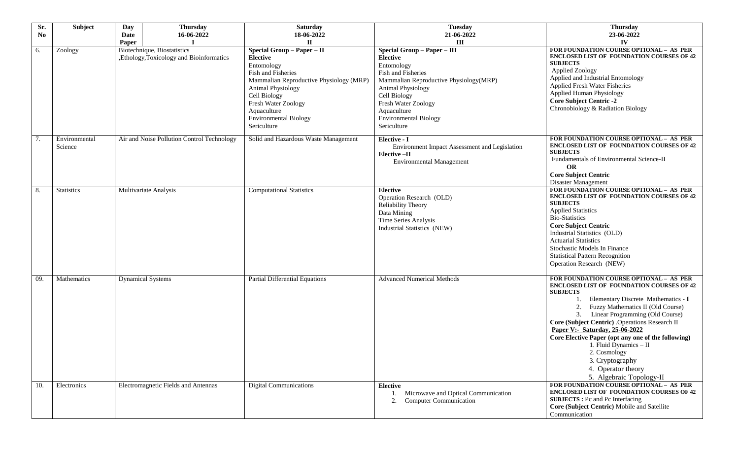| Sr.<br>N <sub>0</sub> | Subject                  | <b>Thursday</b><br>Day<br>16-06-2022<br>Date                                    | <b>Saturday</b><br>18-06-2022                                                                                                                                                                                                                                                 | <b>Tuesday</b><br>21-06-2022                                                                                                                                                                                                                                                    | <b>Thursday</b><br>23-06-2022                                                                                                                                                                                                                                                                                                                                                                                                                                                                 |
|-----------------------|--------------------------|---------------------------------------------------------------------------------|-------------------------------------------------------------------------------------------------------------------------------------------------------------------------------------------------------------------------------------------------------------------------------|---------------------------------------------------------------------------------------------------------------------------------------------------------------------------------------------------------------------------------------------------------------------------------|-----------------------------------------------------------------------------------------------------------------------------------------------------------------------------------------------------------------------------------------------------------------------------------------------------------------------------------------------------------------------------------------------------------------------------------------------------------------------------------------------|
| 6.                    | Zoology                  | Paper<br>Biotechnique, Biostatistics<br>,Ethology,Toxicology and Bioinformatics | $\mathbf{I}$<br>Special Group - Paper - II<br><b>Elective</b><br>Entomology<br>Fish and Fisheries<br>Mammalian Reproductive Physiology (MRP)<br><b>Animal Physiology</b><br>Cell Biology<br>Fresh Water Zoology<br>Aquaculture<br><b>Environmental Biology</b><br>Sericulture | $\mathbf{III}$<br>Special Group - Paper - III<br><b>Elective</b><br>Entomology<br>Fish and Fisheries<br>Mammalian Reproductive Physiology(MRP)<br><b>Animal Physiology</b><br>Cell Biology<br>Fresh Water Zoology<br>Aquaculture<br><b>Environmental Biology</b><br>Sericulture | IV<br>FOR FOUNDATION COURSE OPTIONAL - AS PER<br><b>ENCLOSED LIST OF FOUNDATION COURSES OF 42</b><br><b>SUBJECTS</b><br><b>Applied Zoology</b><br>Applied and Industrial Entomology<br><b>Applied Fresh Water Fisheries</b><br>Applied Human Physiology<br><b>Core Subject Centric -2</b><br>Chronobiology & Radiation Biology                                                                                                                                                                |
| 7.                    | Environmental<br>Science | Air and Noise Pollution Control Technology                                      | Solid and Hazardous Waste Management                                                                                                                                                                                                                                          | Elective - I<br>Environment Impact Assessment and Legislation<br>Elective-II<br><b>Environmental Management</b>                                                                                                                                                                 | FOR FOUNDATION COURSE OPTIONAL - AS PER<br><b>ENCLOSED LIST OF FOUNDATION COURSES OF 42</b><br><b>SUBJECTS</b><br>Fundamentals of Environmental Science-II<br>OR<br><b>Core Subject Centric</b><br>Disaster Management                                                                                                                                                                                                                                                                        |
| 8.                    | <b>Statistics</b>        | Multivariate Analysis                                                           | <b>Computational Statistics</b>                                                                                                                                                                                                                                               | <b>Elective</b><br>Operation Research (OLD)<br>Reliability Theory<br>Data Mining<br>Time Series Analysis<br>Industrial Statistics (NEW)                                                                                                                                         | FOR FOUNDATION COURSE OPTIONAL - AS PER<br><b>ENCLOSED LIST OF FOUNDATION COURSES OF 42</b><br><b>SUBJECTS</b><br><b>Applied Statistics</b><br><b>Bio-Statistics</b><br><b>Core Subject Centric</b><br>Industrial Statistics (OLD)<br><b>Actuarial Statistics</b><br>Stochastic Models In Finance<br><b>Statistical Pattern Recognition</b><br>Operation Research (NEW)                                                                                                                       |
| 09.                   | Mathematics              | <b>Dynamical Systems</b>                                                        | <b>Partial Differential Equations</b>                                                                                                                                                                                                                                         | <b>Advanced Numerical Methods</b>                                                                                                                                                                                                                                               | FOR FOUNDATION COURSE OPTIONAL - AS PER<br><b>ENCLOSED LIST OF FOUNDATION COURSES OF 42</b><br><b>SUBJECTS</b><br>Elementary Discrete Mathematics - I<br>2.<br>Fuzzy Mathematics II (Old Course)<br>Linear Programming (Old Course)<br>Core (Subject Centric) . Operations Research II<br>Paper V:- Saturday, 25-06-2022<br>Core Elective Paper (opt any one of the following)<br>1. Fluid Dynamics - II<br>2. Cosmology<br>3. Cryptography<br>4. Operator theory<br>5. Algebraic Topology-II |
| 10.                   | Electronics              | Electromagnetic Fields and Antennas                                             | <b>Digital Communications</b>                                                                                                                                                                                                                                                 | <b>Elective</b><br>1. Microwave and Optical Communication<br><b>Computer Communication</b><br>2.                                                                                                                                                                                | FOR FOUNDATION COURSE OPTIONAL - AS PER<br><b>ENCLOSED LIST OF FOUNDATION COURSES OF 42</b><br><b>SUBJECTS</b> : Pc and Pc Interfacing<br>Core (Subject Centric) Mobile and Satellite<br>Communication                                                                                                                                                                                                                                                                                        |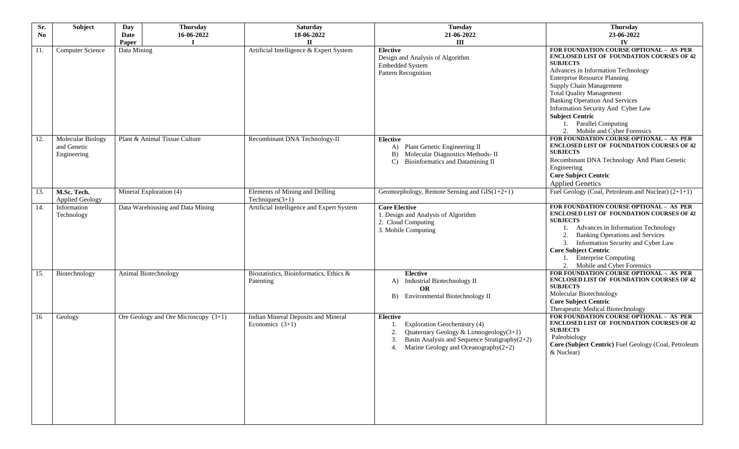| Sr.<br>N <sub>0</sub> | Subject                                         | Day<br><b>Thursday</b><br>16-06-2022<br><b>Date</b><br>Paper | <b>Saturday</b><br>18-06-2022<br>п                       | <b>Tuesday</b><br>21-06-2022<br>III                                                                                                                                                               | <b>Thursday</b><br>23-06-2022<br>IV                                                                                                                                                                                                                                                                                                                                                                                          |
|-----------------------|-------------------------------------------------|--------------------------------------------------------------|----------------------------------------------------------|---------------------------------------------------------------------------------------------------------------------------------------------------------------------------------------------------|------------------------------------------------------------------------------------------------------------------------------------------------------------------------------------------------------------------------------------------------------------------------------------------------------------------------------------------------------------------------------------------------------------------------------|
| 11.                   | <b>Computer Science</b>                         | Data Mining                                                  | Artificial Intelligence & Expert System                  | <b>Elective</b><br>Design and Analysis of Algorithm<br>Embedded System<br>Pattern Recognition                                                                                                     | FOR FOUNDATION COURSE OPTIONAL - AS PER<br>ENCLOSED LIST OF FOUNDATION COURSES OF 42<br><b>SUBJECTS</b><br>Advances in Information Technology<br><b>Enterprise Resource Planning</b><br>Supply Chain Management<br><b>Total Quality Management</b><br><b>Banking Operation And Services</b><br>Information Security And Cyber Law<br><b>Subject Centric</b><br><b>Parallel Computing</b><br>Mobile and Cyber Forensics<br>2. |
| 12.                   | Molecular Biology<br>and Genetic<br>Engineering | Plant & Animal Tissue Culture                                | Recombinant DNA Technology-II                            | <b>Elective</b><br>A) Plant Genetic Engineering II<br>Molecular Diagnostics Methods- II<br>B)<br>Bioinformatics and Datamining II<br>$\mathbf{C}$                                                 | FOR FOUNDATION COURSE OPTIONAL - AS PER<br>ENCLOSED LIST OF FOUNDATION COURSES OF 42<br><b>SUBJECTS</b><br>Recombinant DNA Technology And Plant Genetic<br>Engineering<br><b>Core Subject Centric</b><br><b>Applied Genetics</b>                                                                                                                                                                                             |
| 13.                   | M.Sc. Tech.<br><b>Applied Geology</b>           | Mineral Exploration (4)                                      | Elements of Mining and Drilling<br>Techniques $(3+1)$    | Geomorphology, Remote Sensing and $GIS(1+2+1)$                                                                                                                                                    | Fuel Geology (Coal, Petroleum and Nuclear) $(2+1+1)$                                                                                                                                                                                                                                                                                                                                                                         |
| 14.                   | Information<br>Technology                       | Data Warehousing and Data Mining                             | Artificial Intelligence and Expert System                | <b>Core Elective</b><br>1. Design and Analysis of Algorithm<br>2. Cloud Computing<br>3. Mobile Computing                                                                                          | FOR FOUNDATION COURSE OPTIONAL - AS PER<br>ENCLOSED LIST OF FOUNDATION COURSES OF 42<br><b>SUBJECTS</b><br>Advances in Information Technology<br>2.<br><b>Banking Operations and Services</b><br>Information Security and Cyber Law<br>3.<br><b>Core Subject Centric</b><br><b>Enterprise Computing</b><br>2. Mobile and Cyber Forensics                                                                                     |
| 15.                   | Biotechnology                                   | Animal Biotechnology                                         | Biostatistics, Bioinformatics, Ethics &<br>Patenting     | Elective<br>A) Industrial Biotechnology II<br><b>OR</b><br>B) Environmental Biotechnology II                                                                                                      | FOR FOUNDATION COURSE OPTIONAL - AS PER<br><b>ENCLOSED LIST OF FOUNDATION COURSES OF 42</b><br><b>SUBJECTS</b><br>Molecular Biotechnology<br><b>Core Subject Centric</b><br>Therapeutic Medical Biotechnology                                                                                                                                                                                                                |
| 16                    | Geology                                         | Ore Geology and Ore Microscopy $(3+1)$                       | Indian Mineral Deposits and Mineral<br>Economics $(3+1)$ | <b>Elective</b><br>Exploration Geochemistry (4)<br>Quaternary Geology & Limnogeology(3+1)<br>2.<br>Basin Analysis and Sequence Stratigraphy(2+2)<br>Marine Geology and Oceanography $(2+2)$<br>4. | FOR FOUNDATION COURSE OPTIONAL - AS PER<br><b>ENCLOSED LIST OF FOUNDATION COURSES OF 42</b><br><b>SUBJECTS</b><br>Paleobiology<br>Core (Subject Centric) Fuel Geology (Coal, Petroleum<br>& Nuclear)                                                                                                                                                                                                                         |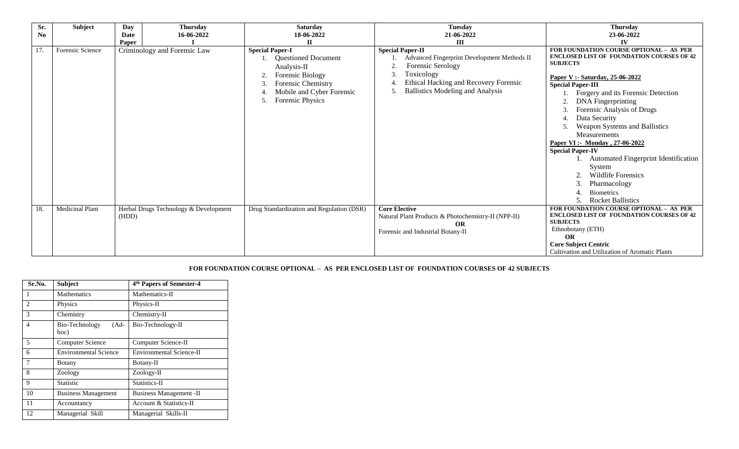| Sr.<br>$\mathbf{N}\mathbf{o}$ | Subject                | <b>Thursday</b><br>Day<br>16-06-2022<br><b>Date</b><br>Paper | <b>Saturday</b><br>18-06-2022<br>П                                                                                                                                | <b>Tuesday</b><br>21-06-2022<br>$\mathbf{III}$                                                                                                                                                                       | <b>Thursday</b><br>23-06-2022<br>IV                                                                                                                                                                                                                                                                                                                                                                                                                                                                                                                                                                     |
|-------------------------------|------------------------|--------------------------------------------------------------|-------------------------------------------------------------------------------------------------------------------------------------------------------------------|----------------------------------------------------------------------------------------------------------------------------------------------------------------------------------------------------------------------|---------------------------------------------------------------------------------------------------------------------------------------------------------------------------------------------------------------------------------------------------------------------------------------------------------------------------------------------------------------------------------------------------------------------------------------------------------------------------------------------------------------------------------------------------------------------------------------------------------|
| 17.                           | Forensic Science       | Criminology and Forensic Law                                 | <b>Special Paper-I</b><br>1. Questioned Document<br>Analysis-II<br>Forensic Biology<br>Forensic Chemistry<br>Mobile and Cyber Forensic<br><b>Forensic Physics</b> | <b>Special Paper-II</b><br>Advanced Fingerprint Development Methods II<br>Forensic Serology<br>Toxicology<br>$\mathbf{3}$<br><b>Ethical Hacking and Recovery Forensic</b><br><b>Ballistics Modeling and Analysis</b> | FOR FOUNDATION COURSE OPTIONAL - AS PER<br><b>ENCLOSED LIST OF FOUNDATION COURSES OF 42</b><br><b>SUBJECTS</b><br>Paper V :- Saturday, 25-06-2022<br><b>Special Paper-III</b><br>Forgery and its Forensic Detection<br><b>DNA</b> Fingerprinting<br>Forensic Analysis of Drugs<br>3.<br>Data Security<br>4.<br>Weapon Systems and Ballistics<br>5.<br>Measurements<br>Paper VI :- Monday, 27-06-2022<br><b>Special Paper-IV</b><br><b>Automated Fingerprint Identification</b><br>System<br><b>Wildlife Forensics</b><br>Pharmacology<br>$\mathcal{F}$<br><b>Biometrics</b><br><b>Rocket Ballistics</b> |
| 18.                           | <b>Medicinal Plant</b> | Herbal Drugs Technology & Development<br>(HDD)               | Drug Standardization and Regulation (DSR)                                                                                                                         | <b>Core Elective</b><br>Natural Plant Products & Photochemistry-II (NPP-II)<br>OR<br>Forensic and Industrial Botany-II                                                                                               | FOR FOUNDATION COURSE OPTIONAL - AS PER<br><b>ENCLOSED LIST OF FOUNDATION COURSES OF 42</b><br><b>SUBJECTS</b><br>Ethnobotany (ETH)<br>OR<br><b>Core Subject Centric</b><br>Cultivation and Utilization of Aromatic Plants                                                                                                                                                                                                                                                                                                                                                                              |

#### **FOR FOUNDATION COURSE OPTIONAL – AS PER ENCLOSED LIST OF FOUNDATION COURSES OF 42 SUBJECTS**

| Sr.No.         | <b>Subject</b>                 | 4 <sup>th</sup> Papers of Semester-4 |
|----------------|--------------------------------|--------------------------------------|
|                | <b>Mathematics</b>             | Mathematics-II                       |
| $\overline{c}$ | Physics                        | Physics-II                           |
| 3              | Chemistry                      | Chemistry-II                         |
| 4              | Bio-Technology<br>(Ad-<br>hoc) | Bio-Technology-II                    |
| 5              | <b>Computer Science</b>        | Computer Science-II                  |
| 6              | <b>Environmental Science</b>   | <b>Environmental Science-II</b>      |
| 7              | Botany                         | Botany-II                            |
| 8              | Zoology                        | Zoology-II                           |
| 9              | Statistic                      | Statistics-II                        |
| 10             | <b>Business Management</b>     | <b>Business Management -II</b>       |
| 11             | Accountancy                    | <b>Account &amp; Statistics-II</b>   |
| 12             | Managerial Skill               | Managerial Skills-II                 |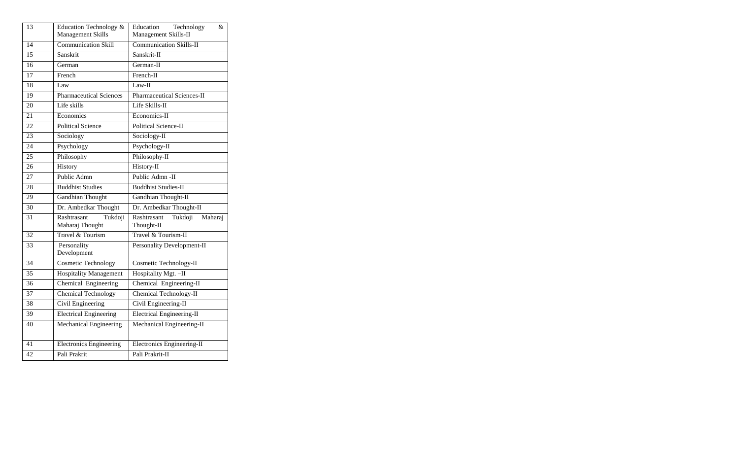| 13 | Education Technology &<br>Management Skills | Education<br>Technology<br>&<br>Management Skills-II |
|----|---------------------------------------------|------------------------------------------------------|
| 14 | Communication Skill                         | <b>Communication Skills-II</b>                       |
| 15 | Sanskrit                                    | Sanskrit-II                                          |
| 16 | German                                      | German-II                                            |
| 17 | French                                      | French-II                                            |
| 18 | Law                                         | Law-II                                               |
| 19 | <b>Pharmaceutical Sciences</b>              | <b>Pharmaceutical Sciences-II</b>                    |
| 20 | Life skills                                 | Life Skills-II                                       |
| 21 | Economics                                   | Economics-II                                         |
| 22 | <b>Political Science</b>                    | Political Science-II                                 |
| 23 | Sociology                                   | Sociology-II                                         |
| 24 | Psychology                                  | Psychology-II                                        |
| 25 | Philosophy                                  | Philosophy-II                                        |
| 26 | History                                     | History-II                                           |
| 27 | Public Admn                                 | Public Admn -II                                      |
| 28 | <b>Buddhist Studies</b>                     | <b>Buddhist Studies-II</b>                           |
| 29 | <b>Gandhian Thought</b>                     | Gandhian Thought-II                                  |
| 30 | Dr. Ambedkar Thought                        | Dr. Ambedkar Thought-II                              |
| 31 | Rashtrasant<br>Tukdoji<br>Maharaj Thought   | Rashtrasant<br>Tukdoji<br>Maharaj<br>Thought-II      |
| 32 | Travel & Tourism                            | Travel & Tourism-II                                  |
| 33 | Personality<br>Development                  | Personality Development-II                           |
| 34 | <b>Cosmetic Technology</b>                  | Cosmetic Technology-II                               |
| 35 | <b>Hospitality Management</b>               | Hospitality Mgt. - II                                |
| 36 | Chemical Engineering                        | Chemical Engineering-II                              |
| 37 | <b>Chemical Technology</b>                  | Chemical Technology-II                               |
| 38 | Civil Engineering                           | Civil Engineering-II                                 |
| 39 | <b>Electrical Engineering</b>               | <b>Electrical Engineering-II</b>                     |
| 40 | Mechanical Engineering                      | Mechanical Engineering-II                            |
| 41 | <b>Electronics Engineering</b>              | Electronics Engineering-II                           |
| 42 | Pali Prakrit                                | Pali Prakrit-II                                      |